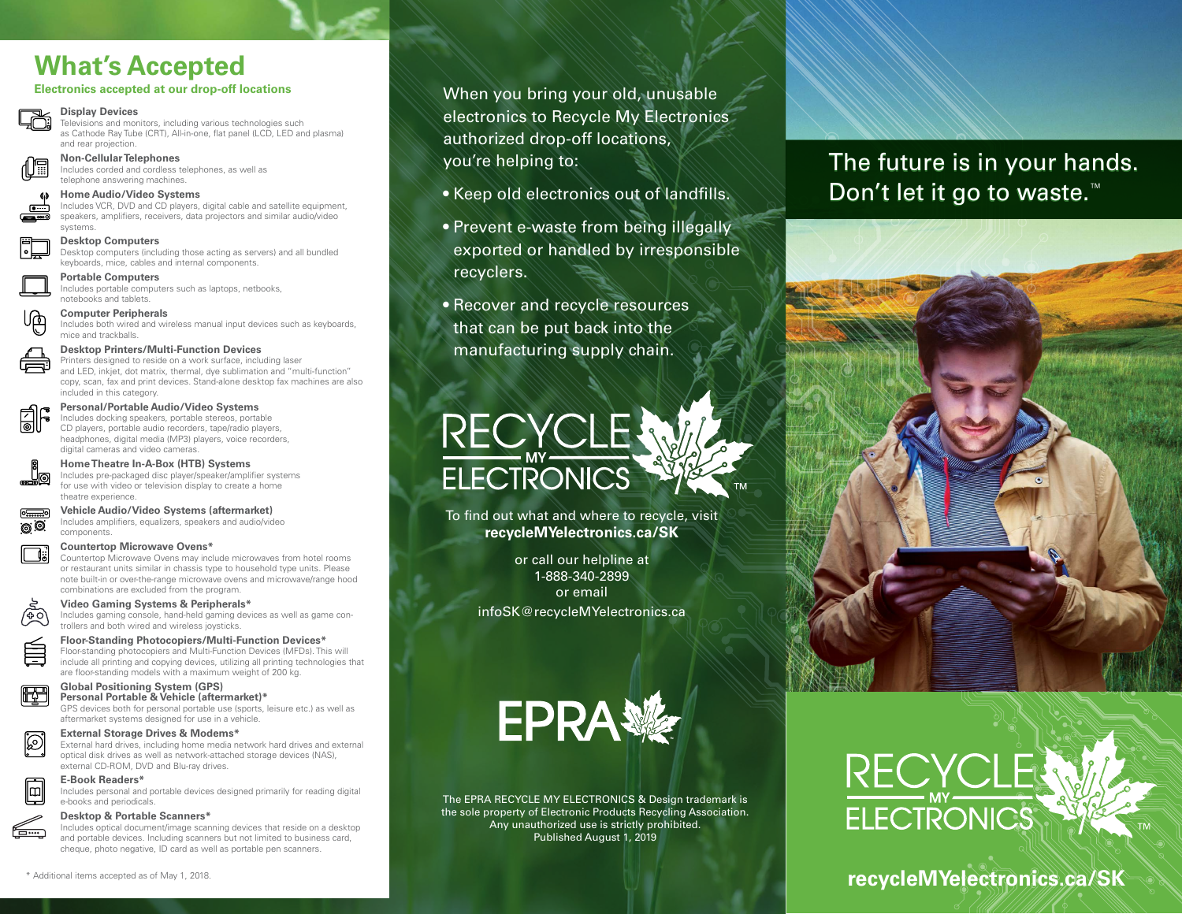# **What's Accepted**

#### **Electronics accepted at our drop-off locations**

#### **Display Devices**

Televisions and monitors, including various technologies such as Cathode Ray Tube (CRT), All-in-one, flat panel (LCD, LED and plasma) and rear projection.



**Non-Cellular Telephones** Includes corded and cordless telephones, as well as telephone answering machines.

#### **Home Audio/Video Systems**

Includes VCR, DVD and CD players, digital cable and satellite equipment, speakers, amplifiers, receivers, data projectors and similar audio/video systems.

#### **Desktop Computers**

Desktop computers (including those acting as servers) and all bundled keyboards, mice, cables and internal components.

**Portable Computers**

Includes portable computers such as laptops, netbooks, notebooks and tablets.

#### **Computer Peripherals**

Includes both wired and wireless manual input devices such as keyboards, mice and trackballs.

#### **Desktop Printers/Multi-Function Devices**

Printers designed to reside on a work surface, including laser and LED, inkjet, dot matrix, thermal, dye sublimation and "multi-function" copy, scan, fax and print devices. Stand-alone desktop fax machines are also included in this category.



©.©

S

<del>仁…</del>

#### **Personal/Portable Audio/Video Systems**

Includes docking speakers, portable stereos, portable CD players, portable audio recorders, tape/radio players, headphones, digital media (MP3) players, voice recorders, digital cameras and video cameras.



## Includes pre-packaged disc player/speaker/amplifier systems

for use with video or television display to create a home theatre experience.

# **Vehicle Audio/Video Systems (aftermarket)**

Includes amplifiers, equalizers, speakers and audio/video components.

#### **Countertop Microwave Ovens\***

Countertop Microwave Ovens may include microwaves from hotel rooms or restaurant units similar in chassis type to household type units. Please note built-in or over-the-range microwave ovens and microwave/range hood combinations are excluded from the program.

#### **Video Gaming Systems & Peripherals\***

Includes gaming console, hand-held gaming devices as well as game controllers and both wired and wireless joysticks.

#### **Floor-Standing Photocopiers/Multi-Function Devices\***

Floor-standing photocopiers and Multi-Function Devices (MFDs). This will include all printing and copying devices, utilizing all printing technologies that are floor-standing models with a maximum weight of 200 kg.

#### **Global Positioning System (GPS) Personal Portable & Vehicle (aftermarket)\***

GPS devices both for personal portable use (sports, leisure etc.) as well as aftermarket systems designed for use in a vehicle.

#### **External Storage Drives & Modems\***

External hard drives, including home media network hard drives and external optical disk drives as well as network-attached storage devices (NAS), external CD-ROM, DVD and Blu-ray drives.

#### **E-Book Readers\*** ⊪⊞

Includes personal and portable devices designed primarily for reading digital e-books and periodicals.

#### **Desktop & Portable Scanners\***

Includes optical document/image scanning devices that reside on a desktop and portable devices. Including scanners but not limited to business card, cheque, photo negative, ID card as well as portable pen scanners.

- Keep old electronics out of landfills.
- Prevent e-waste from being illegally exported or handled by irresponsible recyclers.
- Recover and recycle resources that can be put back into the manufacturing supply chain.



To find out what and where to recycle, visit **recycleMYelectronics.ca/SK**

> or call our helpline at 1-888-340-2899 or email infoSK@recycleMYelectronics.ca



The EPRA RECYCLE MY ELECTRONICS & Design trademark is the sole property of Electronic Products Recycling Association. Any unauthorized use is strictly prohibited. Published August 1, 2019

# The future is in your hands. Don't let it go to waste.<sup>™</sup>



# **recycleMYelectronics.ca/SK**